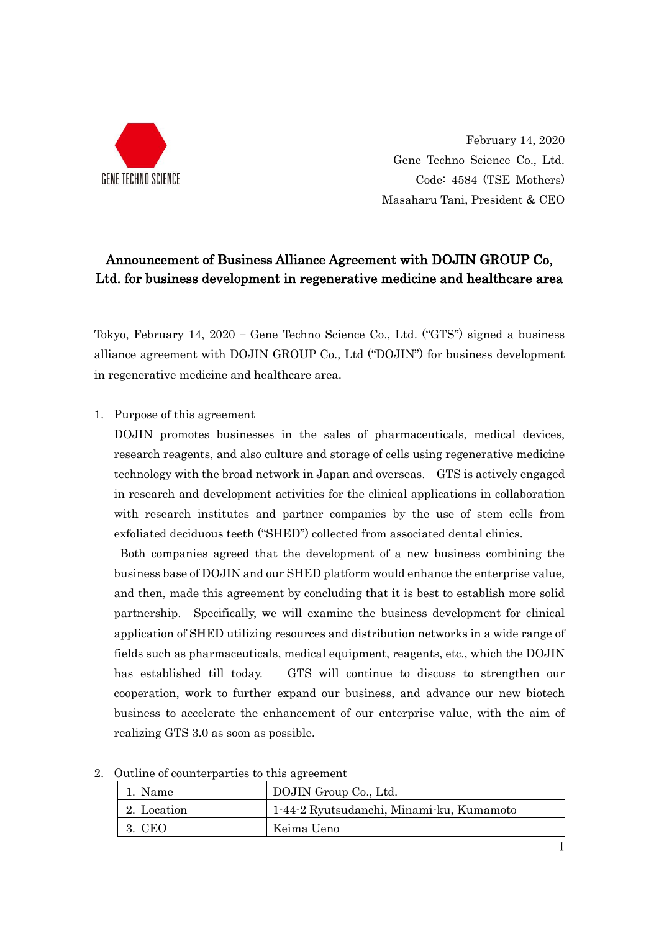

February 14, 2020 Gene Techno Science Co., Ltd. Code: 4584 (TSE Mothers) Masaharu Tani, President & CEO

## Announcement of Business Alliance Agreement with DOJIN GROUP Co, Ltd. for business development in regenerative medicine and healthcare area

Tokyo, February 14, 2020 – Gene Techno Science Co., Ltd. ("GTS") signed a business alliance agreement with DOJIN GROUP Co., Ltd ("DOJIN") for business development in regenerative medicine and healthcare area.

1. Purpose of this agreement

DOJIN promotes businesses in the sales of pharmaceuticals, medical devices, research reagents, and also culture and storage of cells using regenerative medicine technology with the broad network in Japan and overseas. GTS is actively engaged in research and development activities for the clinical applications in collaboration with research institutes and partner companies by the use of stem cells from exfoliated deciduous teeth ("SHED") collected from associated dental clinics.

Both companies agreed that the development of a new business combining the business base of DOJIN and our SHED platform would enhance the enterprise value, and then, made this agreement by concluding that it is best to establish more solid partnership. Specifically, we will examine the business development for clinical application of SHED utilizing resources and distribution networks in a wide range of fields such as pharmaceuticals, medical equipment, reagents, etc., which the DOJIN has established till today. GTS will continue to discuss to strengthen our cooperation, work to further expand our business, and advance our new biotech business to accelerate the enhancement of our enterprise value, with the aim of realizing GTS 3.0 as soon as possible.

| 1. Name     | DOJIN Group Co., Ltd.                    |
|-------------|------------------------------------------|
| 2. Location | 1-44-2 Ryutsudanchi, Minami-ku, Kumamoto |
| 3. CEO      | Keima Ueno                               |

2. Outline of counterparties to this agreement